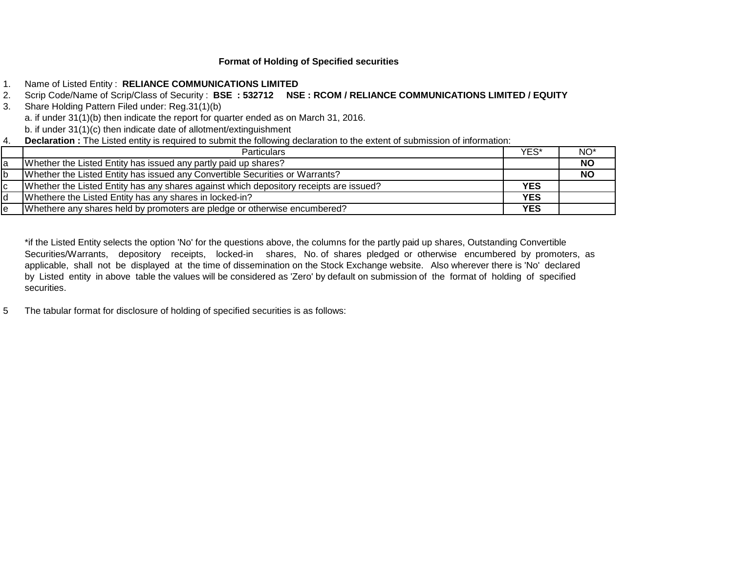# **Format of Holding of Specified securities**

- 1. Name of Listed Entity : **RELIANCE COMMUNICATIONS LIMITED**
- 2. Scrip Code/Name of Scrip/Class of Security : **BSE : 532712 NSE : RCOM / RELIANCE COMMUNICATIONS LIMITED / EQUITY**
- 3. Share Holding Pattern Filed under: Reg.31(1)(b) a. if under 31(1)(b) then indicate the report for quarter ended as on March 31, 2016. b. if under 31(1)(c) then indicate date of allotment/extinguishment
- 4. **Declaration :** The Listed entity is required to submit the following declaration to the extent of submission of information:

| <b>Particulars</b>                                                                     | YES'       | NO*       |
|----------------------------------------------------------------------------------------|------------|-----------|
| Whether the Listed Entity has issued any partly paid up shares?                        |            | <b>NO</b> |
| Whether the Listed Entity has issued any Convertible Securities or Warrants?           |            | <b>NO</b> |
| Whether the Listed Entity has any shares against which depository receipts are issued? | <b>YES</b> |           |
| Whethere the Listed Entity has any shares in locked-in?                                | <b>YES</b> |           |
| Whethere any shares held by promoters are pledge or otherwise encumbered?              | <b>YES</b> |           |

\*if the Listed Entity selects the option 'No' for the questions above, the columns for the partly paid up shares, Outstanding Convertible Securities/Warrants, depository receipts, locked-in shares, No. of shares pledged or otherwise encumbered by promoters, as applicable, shall not be displayed at the time of dissemination on the Stock Exchange website. Also wherever there is 'No' declared by Listed entity in above table the values will be considered as 'Zero' by default on submission of the format of holding of specified securities.

5 The tabular format for disclosure of holding of specified securities is as follows: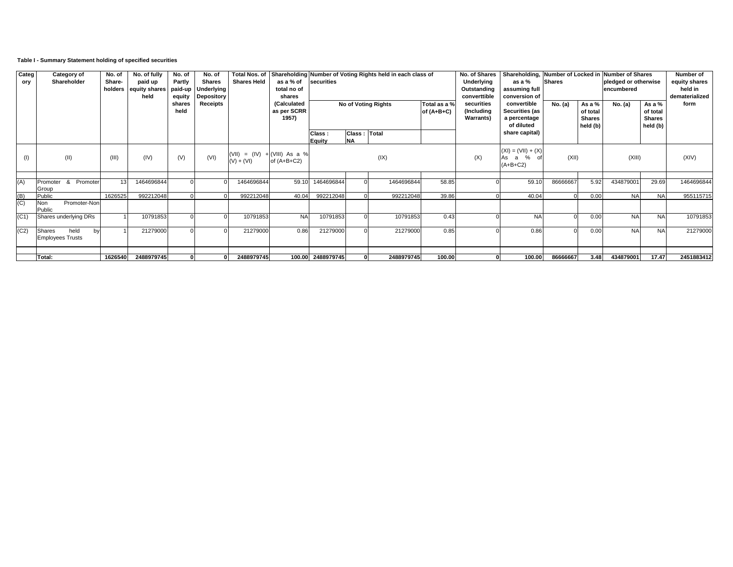# **Table I - Summary Statement holding of specified securities**

| Categ<br>ory          | <b>Category of</b><br>Shareholder |              | No. of<br>Share-<br>holders | No. of fully<br>paid up<br>equity shares<br>held | No. of<br>Partly<br>paid-up<br>equity | No. of<br><b>Shares</b><br><b>Underlying</b><br>Depository | <b>Shares Held</b>                              | as a % of<br>total no of<br>shares  | securities          |                           | Total Nos. of Shareholding Number of Voting Rights held in each class of |                              | No. of Shares<br>Underlying<br>Outstanding<br>converttible<br>securities | Shareholding, Number of Locked in Number of Shares<br>as a %<br>assuming full<br>conversion of | <b>Shares</b> |                                                 | pledged or otherwise<br>encumbered<br>No. (a) | Number of<br>equity shares<br>held in<br>dematerialized<br>form |            |  |
|-----------------------|-----------------------------------|--------------|-----------------------------|--------------------------------------------------|---------------------------------------|------------------------------------------------------------|-------------------------------------------------|-------------------------------------|---------------------|---------------------------|--------------------------------------------------------------------------|------------------------------|--------------------------------------------------------------------------|------------------------------------------------------------------------------------------------|---------------|-------------------------------------------------|-----------------------------------------------|-----------------------------------------------------------------|------------|--|
|                       |                                   |              |                             |                                                  | shares<br>held                        | Receipts                                                   |                                                 | (Calculated<br>as per SCRR<br>1957) | No of Voting Rights |                           |                                                                          | Total as a %<br>of $(A+B+C)$ | (Including<br><b>Warrants</b> )                                          | convertible<br>Securities (as<br>a percentage<br>of diluted                                    | No. (a)       | As a %<br>of total<br><b>Shares</b><br>held (b) |                                               | As a %<br>of total<br><b>Shares</b><br>held (b)                 |            |  |
|                       |                                   |              |                             |                                                  |                                       |                                                            |                                                 |                                     | Class:<br>Equity    | Class: Total<br><b>NA</b> |                                                                          |                              |                                                                          | share capital)                                                                                 |               |                                                 |                                               |                                                                 |            |  |
| $($ f                 | (11)                              |              | (III)                       | (IV)                                             | (V)                                   | (VI)                                                       | $(VIII) = (IV) + (VIII) As a %$<br>$(V) + (VI)$ | of $(A+B+C2)$                       |                     |                           | (IX)                                                                     |                              | (X)                                                                      | $(XI) = (VII) + (X)$<br>As a<br>$\%$<br>of<br>$(A+B+C2)$                                       | (XII)         |                                                 | (XIII)                                        |                                                                 | (XIV)      |  |
| (A)                   | Promoter<br>Group                 | & Promoter   | 13                          | 1464696844                                       |                                       |                                                            | 1464696844                                      | 59.10                               | 1464696844          |                           | 1464696844                                                               | 58.85                        |                                                                          | 59.10                                                                                          | 86666667      | 5.92                                            | 434879001                                     | 29.69                                                           | 1464696844 |  |
| $\overline{B}$<br>(C) | Public<br>Non<br>Public           | Promoter-Non | 1626525                     | 992212048                                        |                                       |                                                            | 992212048                                       | 40.04                               | 992212048           |                           | 992212048                                                                | 39.86                        |                                                                          | 40.04                                                                                          |               | 0.00                                            | <b>NA</b>                                     | <b>NA</b>                                                       | 955115715  |  |
| (C1)                  | Shares underlying DRs             |              |                             | 10791853                                         |                                       |                                                            | 10791853                                        | <b>NA</b>                           | 10791853            |                           | 10791853                                                                 | 0.43                         |                                                                          | <b>NA</b>                                                                                      |               | 0.00                                            | <b>NA</b>                                     | <b>NA</b>                                                       | 10791853   |  |
| (C2)                  | Shares<br><b>Employees Trusts</b> | held<br>hv   |                             | 21279000                                         |                                       |                                                            | 21279000                                        | 0.86                                | 21279000            |                           | 21279000                                                                 | 0.85                         |                                                                          | 0.86                                                                                           |               | 0.00                                            | <b>NA</b>                                     | <b>NA</b>                                                       | 21279000   |  |
|                       | Total:                            |              | 1626540                     | 2488979745                                       |                                       |                                                            | 2488979745                                      |                                     | 100.00 2488979745   |                           | 2488979745                                                               | 100.00                       |                                                                          | 100.00                                                                                         | 86666667      | 3.48                                            | 434879001                                     | 17.47                                                           | 2451883412 |  |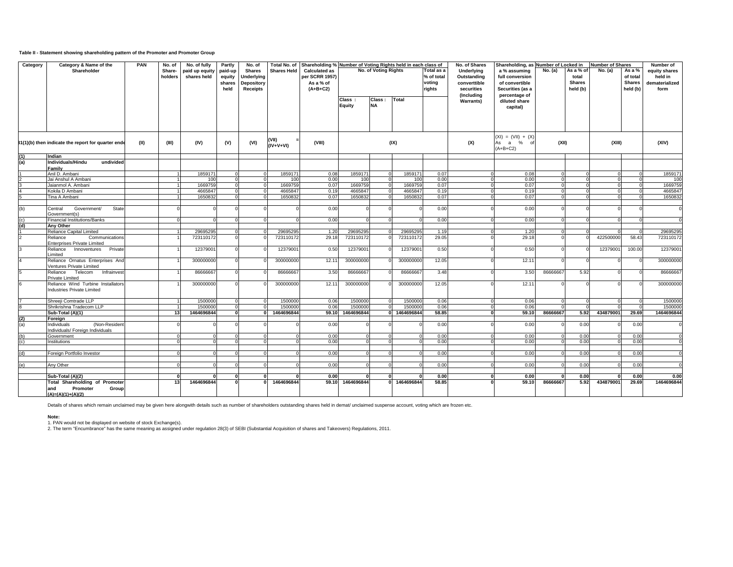## **Table II - Statement showing shareholding pattern of the Promoter and Promoter Group**

| Category | Category & Name of the<br>Shareholder                                                              | <b>PAN</b> | No. of<br>Share-<br>holders | No. of fully<br>paid up equity<br>shares held | Partly<br>paid-up<br>equity<br>shares<br>held | No. of<br><b>Shares</b><br><b>Underlying</b><br><b>Depository</b><br><b>Receipts</b> | <b>Shares Held</b>    | Total No. of Shareholding % Number of Voting Rights held in each class of<br><b>Calculated as</b><br>per SCRR 1957)<br>As a % of<br>$(A+B+C2)$ |                         | No. of Voting Rights |                       | Total as a<br>% of total<br>voting<br>rights | No. of Shares<br>Underlying<br>Outstanding<br>converttible<br>securities<br>(Including | Shareholding, as Number of Locked in<br>a % assuming<br>full conversion<br>of convertible<br>Securities (as a<br>percentage of | $\overline{No}.$ (a) | As a % of<br>total<br><b>Shares</b><br>held (b) | Number of Shares<br>No. (a) | As a %<br>of total<br><b>Shares</b><br>held (b) | Number of<br>equity shares<br>held in<br>dematerialized<br>form |
|----------|----------------------------------------------------------------------------------------------------|------------|-----------------------------|-----------------------------------------------|-----------------------------------------------|--------------------------------------------------------------------------------------|-----------------------|------------------------------------------------------------------------------------------------------------------------------------------------|-------------------------|----------------------|-----------------------|----------------------------------------------|----------------------------------------------------------------------------------------|--------------------------------------------------------------------------------------------------------------------------------|----------------------|-------------------------------------------------|-----------------------------|-------------------------------------------------|-----------------------------------------------------------------|
|          |                                                                                                    |            |                             |                                               |                                               |                                                                                      |                       |                                                                                                                                                | Class:<br><b>Equity</b> | Class:<br><b>NA</b>  | Total                 |                                              | <b>Warrants)</b>                                                                       | diluted share<br>capital)                                                                                                      |                      |                                                 |                             |                                                 |                                                                 |
|          | 81(1)(b) then indicate the report for quarter ende                                                 | (II)       | (III)                       | (IV)                                          | (V)                                           | (VI)                                                                                 | (VII)<br>$(IV+V+VI)$  | (VIII)                                                                                                                                         |                         |                      | (IX)                  |                                              | (X)                                                                                    | $(XI) = (VII) + (X)$<br>As a % of<br>$(A+B+C2)$                                                                                | (XII)                |                                                 | (XIII)                      |                                                 | (XIV)                                                           |
|          | Indian                                                                                             |            |                             |                                               |                                               |                                                                                      |                       |                                                                                                                                                |                         |                      |                       |                                              |                                                                                        |                                                                                                                                |                      |                                                 |                             |                                                 |                                                                 |
| (a)      | Individuals/Hindu<br>undivided                                                                     |            |                             |                                               |                                               |                                                                                      |                       |                                                                                                                                                |                         |                      |                       |                                              |                                                                                        |                                                                                                                                |                      |                                                 |                             |                                                 |                                                                 |
|          | Family<br>Anil D. Ambani                                                                           |            |                             | 1859171                                       |                                               |                                                                                      | 1859171               | 0.08                                                                                                                                           | 1859171                 |                      | 1859171               | 0.07                                         |                                                                                        | 0.08                                                                                                                           |                      |                                                 |                             |                                                 | 1859171                                                         |
|          | Jai Anshul A Ambani                                                                                |            |                             | 100                                           |                                               |                                                                                      | 100                   | 0.00                                                                                                                                           | 100                     |                      | 100                   | 0.00                                         |                                                                                        | 0.00                                                                                                                           |                      |                                                 |                             |                                                 | 100                                                             |
|          | Jaianmol A. Ambani                                                                                 |            |                             | 1669759                                       |                                               |                                                                                      | 1669759               | 0.07                                                                                                                                           | 1669759                 |                      | 1669759               | 0.07                                         |                                                                                        | 0.07                                                                                                                           |                      |                                                 |                             |                                                 | 1669759                                                         |
|          | Kokila D Ambani                                                                                    |            |                             | 4665847                                       |                                               |                                                                                      | 4665847               | 0.19                                                                                                                                           | 4665847                 |                      | 4665847               | 0.19                                         |                                                                                        | 0.19                                                                                                                           |                      |                                                 |                             |                                                 | 4665847                                                         |
|          | Tina A Ambani                                                                                      |            |                             | 1650832                                       |                                               |                                                                                      | 1650832               | 0.07                                                                                                                                           | 1650832                 |                      | 1650832               | 0.07                                         |                                                                                        | 0.07                                                                                                                           |                      |                                                 |                             |                                                 | 1650832                                                         |
| (b)      | State<br>Government/<br>Central<br>Government(s)                                                   |            |                             |                                               |                                               |                                                                                      |                       | 0.00                                                                                                                                           |                         |                      |                       | 0.00                                         |                                                                                        | 0.00                                                                                                                           | $\Omega$             |                                                 |                             |                                                 | $\Omega$                                                        |
|          | <b>Financial Institutions/Banks</b>                                                                |            |                             |                                               |                                               |                                                                                      |                       | 0.00                                                                                                                                           |                         |                      |                       | 0.00                                         |                                                                                        | 0.00                                                                                                                           |                      |                                                 |                             |                                                 |                                                                 |
|          | Anv Other                                                                                          |            |                             |                                               |                                               |                                                                                      |                       |                                                                                                                                                |                         |                      |                       |                                              |                                                                                        |                                                                                                                                |                      |                                                 |                             |                                                 |                                                                 |
|          | Reliance Capital Limited                                                                           |            |                             | 29695295                                      |                                               |                                                                                      | 29695295              | 1.20                                                                                                                                           | 29695295                |                      | 29695295              | 1.19                                         |                                                                                        | 1.20                                                                                                                           |                      |                                                 |                             |                                                 | 29695295                                                        |
|          | Reliance<br>Communications<br><b>Enterprises Private Limited</b>                                   |            |                             | 723110172                                     |                                               |                                                                                      | 723110172             | 29.18                                                                                                                                          | 723110172               |                      | 723110172             | 29.05                                        |                                                                                        | 29.18                                                                                                                          | $\Omega$             |                                                 | 422500000                   | 58.43                                           | 723110172                                                       |
|          | Reliance<br>Innoventures<br>Private<br>Limited                                                     |            |                             | 12379001                                      |                                               |                                                                                      | 12379001              | 0.50                                                                                                                                           | 12379001                |                      | 12379001              | 0.50                                         |                                                                                        | 0.50                                                                                                                           | $\Omega$             |                                                 | 12379001                    | 100.00                                          | 12379001                                                        |
|          | Reliance Ornatus Enterprises And<br>/entures Private Limited<br>Infrainvest<br>Telecom<br>Reliance |            |                             | 300000000<br>86666667                         |                                               |                                                                                      | 300000000<br>86666667 | 12.1<br>3.50                                                                                                                                   | 300000000<br>86666667   |                      | 300000000<br>86666667 | 12.05<br>3.48                                |                                                                                        | 12.11<br>3.50                                                                                                                  | 86666667             | 5.92                                            |                             |                                                 | 300000000<br>86666667                                           |
|          | Private Limited                                                                                    |            |                             |                                               |                                               |                                                                                      |                       |                                                                                                                                                |                         |                      |                       |                                              |                                                                                        |                                                                                                                                |                      |                                                 |                             |                                                 |                                                                 |
|          | Reliance Wind Turbine Installators<br><b>Industries Private Limited</b>                            |            |                             | 300000000                                     | $\Omega$                                      |                                                                                      | 300000000             | 12.11                                                                                                                                          | 300000000               |                      | 300000000             | 12.05                                        |                                                                                        | 12.11                                                                                                                          | $\Omega$             |                                                 |                             |                                                 | 300000000                                                       |
|          | Shreeji Comtrade LLP                                                                               |            |                             | 1500000                                       |                                               |                                                                                      | 1500000               | 0.06                                                                                                                                           | 1500000                 |                      | 1500000               | 0.06                                         |                                                                                        | 0.06                                                                                                                           |                      |                                                 |                             |                                                 | 1500000                                                         |
|          | Shrikrishna Tradecom LLP                                                                           |            |                             | 1500000                                       |                                               |                                                                                      | 1500000               | 0.06                                                                                                                                           | 1500000                 |                      | 1500000               | 0.06                                         |                                                                                        | 0.06                                                                                                                           |                      |                                                 |                             |                                                 | 1500000                                                         |
|          | Sub-Total (A)(1)                                                                                   |            | 13                          | 1464696844                                    |                                               |                                                                                      | 1464696844            | 59.10                                                                                                                                          | 1464696844              |                      | 1464696844            | 58.85                                        |                                                                                        | 59.10<br>n١                                                                                                                    | 86666667             | 5.92                                            | 434879001                   | 29.69                                           | 1464696844                                                      |
| (2)      | Foreign                                                                                            |            |                             |                                               |                                               |                                                                                      |                       |                                                                                                                                                |                         |                      |                       |                                              |                                                                                        |                                                                                                                                |                      |                                                 |                             |                                                 |                                                                 |
|          | (Non-Resident<br>Individuals<br>Individuals/ Foreign Individuals                                   |            |                             |                                               |                                               |                                                                                      |                       | 0.00                                                                                                                                           |                         |                      |                       | 0.00                                         |                                                                                        | 0.00                                                                                                                           |                      | 0.00                                            |                             | 0.00                                            |                                                                 |
|          | Government                                                                                         |            |                             |                                               |                                               |                                                                                      |                       | 0.00                                                                                                                                           |                         |                      |                       | 0.00                                         |                                                                                        | 0.00                                                                                                                           |                      | 0.00                                            |                             | 0.00                                            |                                                                 |
|          | Institutions                                                                                       |            |                             |                                               |                                               |                                                                                      |                       | 0.00                                                                                                                                           |                         |                      |                       | 0.00                                         |                                                                                        | 0.00                                                                                                                           |                      | 0.00                                            |                             | 0.00                                            |                                                                 |
|          | Foreign Portfolio Investor                                                                         |            |                             |                                               |                                               |                                                                                      |                       | 0.00                                                                                                                                           |                         |                      |                       | 0.00                                         |                                                                                        | 0.00                                                                                                                           |                      | 0.00                                            |                             | 0.00                                            |                                                                 |
|          | Any Other                                                                                          |            |                             |                                               |                                               |                                                                                      |                       | 0.00                                                                                                                                           |                         |                      |                       | 0.00                                         |                                                                                        | 0.00                                                                                                                           |                      | 0.00                                            |                             | 0.00                                            |                                                                 |
|          |                                                                                                    |            |                             |                                               |                                               |                                                                                      |                       | 0.00                                                                                                                                           |                         |                      |                       | 0.00                                         |                                                                                        | 0.00                                                                                                                           |                      | 0.00                                            |                             | 0.00                                            | 0.00                                                            |
|          | Sub-Total (A)(2)<br><b>Total Shareholding of Promoter</b>                                          |            | -13                         | 1464696844                                    |                                               |                                                                                      | 1464696844            | 59.10                                                                                                                                          | 1464696844              |                      | 1464696844            | 58.85                                        |                                                                                        | 59.10                                                                                                                          | 86666667             | 5.92                                            | 434879001                   | 29.69                                           | 1464696844                                                      |
|          | Group<br>and<br>Promoter<br>$(A)=(A)(1)+(A)(2)$                                                    |            |                             |                                               |                                               |                                                                                      |                       |                                                                                                                                                |                         |                      |                       |                                              |                                                                                        |                                                                                                                                |                      |                                                 |                             |                                                 |                                                                 |

Details of shares which remain unclaimed may be given here alongwith details such as number of shareholders outstanding shares held in demat/ unclaimed suspense account, voting which are frozen etc.

#### **Note:**

1. PAN would not be displayed on website of stock Exchange(s).<br>2. The term "Encumbrance" has the same meaning as assigned under regulation 28(3) of SEBI (Substantial Acquisition of shares and Takeovers) Regulations, 2011.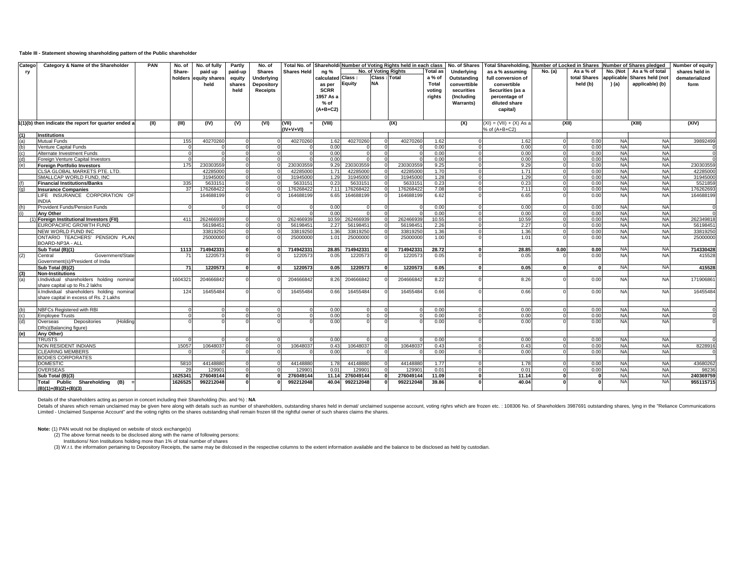### **Table III - Statement showing shareholding pattern of the Public shareholder**

| Catego | Category & Name of the Shareholder                                          | <b>PAN</b> | No. of  | No. of fully          | Partly       | No. of          | Total No. of         |                   |           |                | Shareholdi Number of Voting Rights held in each class |                 | No. of Shares     | Total Shareholding, Number of Locked in Shares |         |              |           | <b>Number of Shares pledged</b> | <b>Number of equity</b> |
|--------|-----------------------------------------------------------------------------|------------|---------|-----------------------|--------------|-----------------|----------------------|-------------------|-----------|----------------|-------------------------------------------------------|-----------------|-------------------|------------------------------------------------|---------|--------------|-----------|---------------------------------|-------------------------|
| ry     |                                                                             |            | Share-  | paid up               | paid-up      | <b>Shares</b>   | <b>Shares Held</b>   | na %              |           |                | <b>No. of Voting Rights</b>                           | <b>Total as</b> | <b>Underlying</b> | as a % assuming                                | No. (a) | As a % of    | No. (Not  | As a % of total                 | shares held in          |
|        |                                                                             |            |         | holders equity shares | equity       | Underlying      |                      | calculated Class: |           | Class: Total   |                                                       | a % of          | Outstanding       | full conversion of                             |         | total Shares |           | applicable Shares held (not     | dematerialized          |
|        |                                                                             |            |         | held                  | shares       | Depository      |                      | as per            | Equity    | <b>NA</b>      |                                                       | Total           | converttible      | convertible                                    |         | held (b)     | (a)       | applicable) (b)                 | form                    |
|        |                                                                             |            |         |                       | held         | <b>Receipts</b> |                      | <b>SCRR</b>       |           |                |                                                       | voting          | securities        | Securities (as a                               |         |              |           |                                 |                         |
|        |                                                                             |            |         |                       |              |                 |                      | 1957 As a         |           |                |                                                       | rights          | (Including        | percentage of                                  |         |              |           |                                 |                         |
|        |                                                                             |            |         |                       |              |                 |                      | % of              |           |                |                                                       |                 | <b>Warrants)</b>  | diluted share                                  |         |              |           |                                 |                         |
|        |                                                                             |            |         |                       |              |                 |                      |                   |           |                |                                                       |                 |                   |                                                |         |              |           |                                 |                         |
|        |                                                                             |            |         |                       |              |                 |                      | $(A+B+C2)$        |           |                |                                                       |                 |                   | capital)                                       |         |              |           |                                 |                         |
|        | (1)(b) then indicate the report for quarter ended a                         | (II)       | (III)   | (IV)                  | (V)          | (VI)            | (VII)<br>$(IV+V+VI)$ | (VIII)            |           |                | (IX)                                                  |                 | (X)               | $(XI) = (VII) + (X) As a$<br>% of (A+B+C2)     |         | (XII)        |           | (XIII)                          | (XIV)                   |
|        | <b>Institutions</b>                                                         |            |         |                       |              |                 |                      |                   |           |                |                                                       |                 |                   |                                                |         |              |           |                                 |                         |
|        | <b>Mutual Funds</b>                                                         |            | 155     | 40270260              |              |                 | 40270260             | 1.62              | 40270260  | $\Omega$       | 40270260                                              | 1.62            |                   | 1.62                                           |         | 0.00         | <b>NA</b> | <b>NA</b>                       | 39892499                |
|        | Venture Capital Funds                                                       |            |         |                       |              |                 |                      | 0.00              |           | $\overline{0}$ |                                                       | 0.00            |                   | 0.00                                           |         | 0.00         | <b>NA</b> | <b>NA</b>                       |                         |
|        | Alternate Investment Funds                                                  |            |         |                       |              |                 |                      | 0.00              |           | $\Omega$       |                                                       | 0.00            |                   | 0.00                                           |         | 0.00         | <b>NA</b> | <b>NA</b>                       |                         |
|        | Foreign Venture Capital Investors                                           |            |         |                       |              |                 |                      | 0.00              |           | $\Omega$       |                                                       | 0.00            |                   | 0.00                                           |         | 0.00         | <b>NA</b> | <b>NA</b>                       |                         |
|        | <b>Foreign Portfolio Investors</b>                                          |            | 175     | 230303559             | $\Omega$     |                 | 230303559            | 9.29              | 230303559 | $\Omega$       | 230303559                                             | 9.25            | $\Omega$          | 9.29                                           |         | 0.00         | <b>NA</b> | <b>NA</b>                       | 230303559               |
|        | CLSA GLOBAL MARKETS PTE. LTD.                                               |            |         | 42285000              |              |                 | 42285000             | 1.71              | 42285000  | $\Omega$       | 42285000                                              | 1.70            |                   | 1.71                                           |         | 0.00         | <b>NA</b> | <b>NA</b>                       | 4228500                 |
|        | SMALLCAP WORLD FUND. INC                                                    |            |         | 31945000              |              |                 | 31945000             | 1.29              | 31945000  | $\Omega$       | 31945000                                              | 1.28            |                   | 1.29                                           |         | 0.00         | <b>NA</b> | <b>NA</b>                       | 3194500                 |
|        | <b>Financial Institutions/Banks</b>                                         |            | 335     | 5633151               | $\Omega$     |                 | 563315               | 0.23              | 5633151   | $\overline{0}$ | 5633151                                               | 0.23            | $\Omega$          | 0.23                                           |         | 0.00         | <b>NA</b> | <b>NA</b>                       | 5521859                 |
|        | <b>Insurance Companies</b>                                                  |            | 37      | 176268422             | $\Omega$     |                 | 176268422            | 7.11              | 176268422 | $\overline{0}$ | 176268422                                             | 7.08            |                   | 7.11                                           |         | 0.00         | <b>NA</b> | <b>NA</b>                       | 176262693               |
|        | LIFE INSURANCE CORPORATION OF                                               |            |         | 164688199             |              |                 | 164688199            | 6.65              | 164688199 |                | 164688199                                             | 6.62            |                   | 6.65                                           |         | 0.00         | <b>NA</b> | <b>NA</b>                       | 164688199               |
|        | <b>INDIA</b>                                                                |            |         |                       |              |                 |                      |                   |           |                |                                                       |                 |                   |                                                |         |              |           |                                 |                         |
|        | Provident Funds/Pension Funds                                               |            |         |                       |              |                 |                      | 0.00              |           | $\Omega$       |                                                       | 0.00            |                   | 0.00                                           |         | 0.00         | <b>NA</b> | <b>NA</b>                       |                         |
|        | Any Other                                                                   |            |         |                       |              |                 |                      | 0.00              |           |                |                                                       | 0.00            |                   | 0.00                                           |         | 0.00         | <b>NA</b> | <b>NA</b>                       |                         |
|        | Foreign Institutional Investors (FII)                                       |            | 411     | 262466939             |              |                 | 262466939            | 10.59             | 262466939 | $\Omega$       | 262466939                                             | 10.55           |                   | 10.59                                          |         | 0.00         | <b>NA</b> | <b>NA</b>                       | 262349818               |
|        | <b>EUROPACIFIC GROWTH FUND</b>                                              |            |         | 5619845               | $\Omega$     |                 | 5619845              | 2.27              | 5619845   | $\Omega$       | 56198451                                              | 2.26            | $\Omega$          | 2.27                                           |         | 0.00         | <b>NA</b> | <b>NA</b>                       | 5619845                 |
|        | NEW WORLD FUND INC                                                          |            |         | 33819250              |              |                 | 3381925              | 1.36              | 33819250  | $\Omega$       | 33819250                                              | 1.36            |                   | 1.36                                           |         | 0.00         | <b>NA</b> | <b>NA</b>                       | 3381925                 |
|        | ONTARIO TEACHERS' PENSION PLAN<br>BOARD-NP3A - ALL                          |            |         | 25000000              |              |                 | 25000000             | 1.01              | 25000000  |                | 25000000                                              | 1.00            |                   | 1.01                                           |         | 0.00         | <b>NA</b> | <b>NA</b>                       | 25000000                |
|        | Sub Total (B)(1)                                                            |            | 1113    | 714942331             | $\Omega$     |                 | 71494233             | 28.85             | 714942331 | 0              | 714942331                                             | 28.72           | $\mathbf{r}$      | 28.85                                          | 0.00    | 0.00         | <b>NA</b> | <b>NA</b>                       | 714330428               |
|        | Government/State<br>Central                                                 |            | 71      | 1220573               |              |                 | 1220573              | 0.05              | 1220573   |                | 1220573                                               | 0.05            |                   | 0.05                                           |         | 0.00         | <b>NA</b> | <b>NA</b>                       | 415528                  |
|        | Government(s)/President of India                                            |            |         |                       |              |                 |                      |                   |           |                |                                                       |                 |                   |                                                |         |              |           |                                 |                         |
|        | Sub Total (B)(2)                                                            |            | 71      | 1220573               | $\mathbf{r}$ |                 | 1220573              | 0.05              | 122057    | $\Omega$       | 1220573                                               | 0.05            | $\mathbf{a}$      | 0.05                                           |         | $\Omega$     | <b>NA</b> | <b>NA</b>                       | 415528                  |
|        | <b>Non-Institutions</b>                                                     |            |         |                       |              |                 |                      |                   |           |                |                                                       |                 |                   |                                                |         |              |           |                                 |                         |
|        | i.Individual shareholders holding nominal<br>share capital up to Rs.2 lakhs |            | 1604321 | 204666842             |              |                 | 204666842            | 8.26              | 204666842 |                | 204666842                                             | 8.22            |                   | 8.26                                           |         | 0.00         | <b>NA</b> | <b>NA</b>                       | 171906861               |
|        | ii.Individual shareholders holding nominal                                  |            | 124     | 16455484              |              |                 | 16455484             | 0.66              | 16455484  |                | 16455484                                              | 0.66            |                   | 0.66                                           |         | 0.00         | <b>NA</b> | <b>NA</b>                       | 16455484                |
|        | share capital in excess of Rs. 2 Lakhs                                      |            |         |                       |              |                 |                      |                   |           |                |                                                       |                 |                   |                                                |         |              |           |                                 |                         |
|        |                                                                             |            |         |                       |              |                 |                      |                   |           |                |                                                       |                 |                   |                                                |         |              |           |                                 |                         |
|        | NBFCs Registered with RBI                                                   |            |         |                       |              |                 |                      | 0.00              |           |                |                                                       | 0.00            |                   | 0.00                                           |         | 0.00         | <b>NA</b> | <b>NA</b>                       |                         |
|        | <b>Employee Trusts</b>                                                      |            |         |                       |              |                 |                      | 0.00              |           |                |                                                       | 0.00            |                   | 0.00                                           |         | 0.00         | <b>NA</b> | <b>NA</b>                       |                         |
|        | (Holding<br>Depositories<br>Overseas<br>DRs)(Balancing figure)              |            |         |                       |              |                 |                      | 0.00              |           |                |                                                       | 0.00            |                   | 0.00                                           |         | 0.00         | <b>NA</b> | <b>NA</b>                       |                         |
|        | Anv Other)                                                                  |            |         |                       |              |                 |                      |                   |           |                |                                                       |                 |                   |                                                |         |              |           |                                 |                         |
|        | <b>TRUSTS</b>                                                               |            |         |                       |              |                 |                      | 0.00              |           |                |                                                       | 0.00            |                   | 0.00                                           |         | 0.00         | <b>NA</b> | <b>NA</b>                       |                         |
|        | <b>NON RESIDENT INDIANS</b>                                                 |            | 15057   | 10648037              |              |                 | 10648037             | 0.43              | 10648037  | $\Omega$       | 10648037                                              | 0.43            |                   | 0.43                                           |         | 0.00         | <b>NA</b> | <b>NA</b>                       | 8228916                 |
|        | <b>CLEARING MEMBERS</b>                                                     |            |         |                       |              |                 |                      | 0.00              |           | $\Omega$       |                                                       | 0.00            | $\Omega$          | 0.00                                           |         | 0.00         | <b>NA</b> | <b>NA</b>                       |                         |
|        | <b>BODIES CORPORATES</b>                                                    |            |         |                       |              |                 |                      |                   |           |                |                                                       |                 |                   |                                                |         |              |           |                                 |                         |
|        | <b>DOMESTIC</b>                                                             |            | 5810    | 44148880              |              |                 | 44148880             | 1.78              | 44148880  |                | 44148880                                              | 1.77            |                   | 1.78                                           |         | 0.00         | <b>NA</b> | <b>NA</b>                       | 43680262                |
|        | <b>OVERSEAS</b>                                                             |            | 29      | 12990                 |              |                 | 12990                | 0.01              | 12990     | $\Omega$       | 129901                                                | 0.01            |                   | 0.01                                           |         | 0.00         | <b>NA</b> | <b>NA</b>                       | 98236                   |
|        | Sub Total (B)(3)                                                            |            | 1625341 | 276049144             | $\Omega$     |                 | 276049144            | 11.14             | 276049144 | $\mathbf{0}$   | 276049144                                             | 11.09           | $\Omega$          | 11.14                                          |         |              | <b>NA</b> | <b>NA</b>                       | 240369759               |
|        | Total Public Shareholding (B)                                               |            | 1626525 | 992212048             |              |                 | 992212048            | 40.04             | 992212048 |                | 992212048                                             | 39.86           |                   | 40.04                                          |         |              | <b>NA</b> | <b>NA</b>                       | 955115715               |
|        | $(B)(1)+(B)(2)+(B)(3)$                                                      |            |         |                       |              |                 |                      |                   |           |                |                                                       |                 |                   |                                                |         |              |           |                                 |                         |

Details of the shareholders acting as person in concert including their Shareholding (No. and %) : NA<br>Details of shares which remain unclaimed may be given here along with details such as number of shareholders, outstandin Limited - Unclaimed Suspense Account" and the voting rights on the shares outstanding shall remain frozen till the rightful owner of such shares claims the shares.

Note: (1) PAN would not be displayed on website of stock exchange(s)<br>(2) The above format needs to be disclosed along with the name of following persons:<br>Institutions/ Non Institutions holding more than 1% of total number

W.r.t. the information pertaining to Depository Receipts, the same may be dislcosed in the respective columns to the extent information available and the balance to be disclosed as held by custodian.<br>(3) W.r.t. the informa